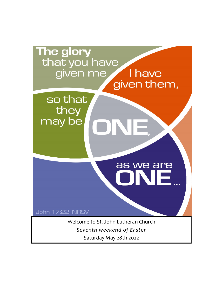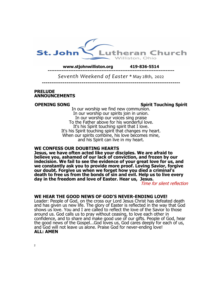

www.stjohnwilliston.org 419-836-5514

-------------------------------------------------------------------------

Seventh Weekend of Easter \* May 28th, 2022 -------------------------------------------------------------------------

### PRELUDE ANNOUNCEMENTS

## **OPENING SONG Settlem Spirit Touching Spirit Touching Spirit Touching Spirit**

In our worship we find new communion. In our worship our spirits join in union. In our worship our voices sing praise To the Father above for his wonderful love. It's his Spirit touching spirit that I love. It's his Spirit touching spirit that changes my heart. When our spirits combine, his love becomes mine, and his Spirit can live in my heart.

### WE CONFESS OUR DOUBTING HEARTS

Jesus, we have often acted like your disciples. We are afraid to believe you, ashamed of our lack of conviction, and frozen by our indecision. We fail to see the evidence of your great love for us, and we constantly ask you to provide more proof. Loving Savior, forgive our doubt. Forgive us when we forget how you died a criminal's death to free us from the bonds of sin and evil. Help us to live every day in the freedom and love of Easter. Hear us, Jesus.

Time for silent reflection

# WE HEAR THE GOOD NEWS OF GOD'S NEVER-ENDING LOVE!

Leader: People of God, on the cross our Lord Jesus Christ has defeated death and has given us new life. The glory of Easter is reflected in the way that God shows us love. You and I are called to reflect the love of the Savior to those around us. God calls us to pray without ceasing, to love each other in confidence, and to share and make good use of our gifts. People of God, hear the good news of the Gospel...God loves us, God cares deeply for each of us, and God will not leave us alone. Praise God for never-ending love! ALL: AMEN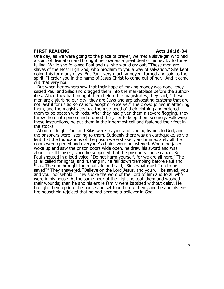### **FIRST READING Acts 16:16-34**

One day, as we were going to the place of prayer, we met a slave-girl who had a spirit of divination and brought her owners a great deal of money by fortunetelling. While she followed Paul and us, she would cry out, "These men are slaves of the Most High God, who proclaim to you a way of salvation." She kept doing this for many days. But Paul, very much annoyed, turned and said to the spirit, "I order you in the name of Jesus Christ to come out of her." And it came out that very hour.

But when her owners saw that their hope of making money was gone, they seized Paul and Silas and dragged them into the marketplace before the authorities. When they had brought them before the magistrates, they said, "These men are disturbing our city; they are Jews and are advocating customs that are not lawful for us as Romans to adopt or observe." The crowd joined in attacking them, and the magistrates had them stripped of their clothing and ordered them to be beaten with rods. After they had given them a severe flogging, they threw them into prison and ordered the jailer to keep them securely. Following these instructions, he put them in the innermost cell and fastened their feet in the stocks.

About midnight Paul and Silas were praying and singing hymns to God, and the prisoners were listening to them. Suddenly there was an earthquake, so violent that the foundations of the prison were shaken; and immediately all the doors were opened and everyone's chains were unfastened. When the jailer woke up and saw the prison doors wide open, he drew his sword and was about to kill himself, since he supposed that the prisoners had escaped. But Paul shouted in a loud voice, "Do not harm yourself, for we are all here." The jailer called for lights, and rushing in, he fell down trembling before Paul and Silas. Then he brought them outside and said, "Sirs, what must I do to be saved?" They answered, "Believe on the Lord Jesus, and you will be saved, you and your household." They spoke the word of the Lord to him and to all who were in his house. At the same hour of the night he took them and washed their wounds; then he and his entire family were baptized without delay. He brought them up into the house and set food before them; and he and his entire household rejoiced that he had become a believer in God.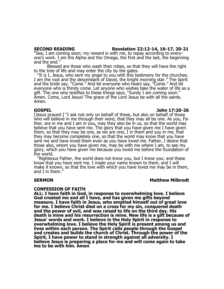SECOND READING Revelation 22:12-14, 16-17, 20-21

"See, I am coming soon; my reward is with me, to repay according to everyone's work. I am the Alpha and the Omega, the first and the last, the beginning and the end."

Blessed are those who wash their robes, so that they will have the right to the tree of life and may enter the city by the gates.

"It is I, Jesus, who sent my angel to you with this testimony for the churches. I am the root and the descendant of David, the bright morning star." The Spirit and the bride say, "Come." And let everyone who hears say, "Come." And let everyone who is thirsty come. Let anyone who wishes take the water of life as a gift. The one who testifies to these things says, "Surely I am coming soon." Amen. Come, Lord Jesus! The grace of the Lord Jesus be with all the saints. Amen.

### GOSPEL John 17:20-26

[Jesus prayed:] "I ask not only on behalf of these, but also on behalf of those who will believe in me through their word, that they may all be one. As you, Father, are in me and I am in you, may they also be in us, so that the world may believe that you have sent me. The glory that you have given me I have given them, so that they may be one, as we are one, I in them and you in me, that they may become completely one, so that the world may know that you have sent me and have loved them even as you have loved me. Father, I desire that those also, whom you have given me, may be with me where I am, to see my glory, which you have given me because you loved me before the foundation of the world.

"Righteous Father, the world does not know you, but I know you; and these know that you have sent me. I made your name known to them, and I will make it known, so that the love with which you have loved me may be in them, and I in them."

### SERMON **Matthew Milbrodt Matthew Milbrodt**

### CONFESSION OF FAITH

4 me to be with him. Amen ALL: I have faith in God, in response to overwhelming love. I believe God created me and all I have, and has given me gifts beyond measure. I have faith in Jesus, who emptied himself out of great love for me. I believe Christ died on a cross for my sin, conquered death and the power of evil, and was raised to life on the third day. His death is mine and his resurrection is mine. New life is a gift because of Jesus' words and work. I believe in the Holy Spirit in response to overwhelming love. I believe the Holy Spirit is present among us and lives within each person. The Spirit calls people through the Gospel and creates and builds the church of Christ. Through the power of the Spirit, I have power to stand in strength against all adversity. I believe Jesus is preparing a place for me and will come again to take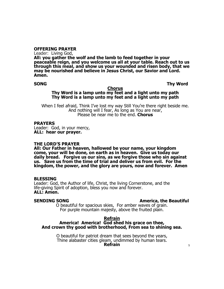### OFFERING PRAYER

Leader: Living God, All: you gather the wolf and the lamb to feed together in your peaceable reign, and you welcome us all at your table. Reach out to us through this meal, and show us your wounded and risen body, that we may be nourished and believe in Jesus Christ, our Savior and Lord. Amen.

# SONG Thy Word The United States of the United States of the United States of the United States of the United States of the United States of the United States of the United States of the United States of the United States o

### **Chorus** Thy Word is a lamp unto my feet and a light unto my path Thy Word is a lamp unto my feet and a light unto my path

When I feel afraid, Think I've lost my way Still You're there right beside me. And nothing will I fear, As long as You are near, Please be near me to the end. **Chorus** 

## PRAYERS

Leader: God, in your mercy, ALL: hear our prayer.

### THE LORD'S PRAYER

All: Our Father in heaven, hallowed be your name, your kingdom come, your will be done, on earth as in heaven. Give us today our daily bread. Forgive us our sins, as we forgive those who sin against us. Save us from the time of trial and deliver us from evil. For the kingdom, the power, and the glory are yours, now and forever. Amen

## BLESSING

Leader: God, the Author of life, Christ, the living Cornerstone, and the life-giving Spirit of adoption, bless you now and forever. ALL: Amen.

### SENDING SONG **America, the Beautiful**

O beautiful for spacious skies, For amber waves of grain. For purple mountain majesty, above the fruited plain.

### **Refrain** America! America! God shed his grace on thee, And crown thy good with brotherhood, From sea to shining sea.

O beautiful for patriot dream that sees beyond the years, Thine alabaster cities gleam, undimmed by human tears.

Refrain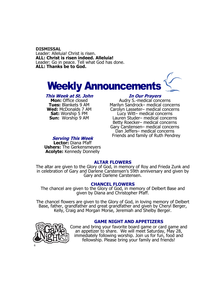DISMISSAL Leader: Alleluia! Christ is risen. ALL: Christ is risen indeed. Alleluia! Leader: Go in peace. Tell what God has done. ALL: Thanks be to God.



# This Week at St. John

Mon: Office closed Tues: Blankets 9 AM Wed: McDonalds 7 AM Sat: Worship 5 PM **Sun:** Worship 9 AM

# In Our Prayers

Audry S.-medical concerns Marilyn Sandrock– medical concerns Carolyn Lasseter– medical concerns Lucy Witt– medical concerns Lauren Studer– medical concerns Betty Roecker– medical concerns Gary Carstensen– medical concerns Dan Jeffers– medical concerns **Serving This Week** Friends and family of Ruth Pendrey

Lector: Diana Pfaff **Ushers:** The Gerkensmevers Acolyte: Kennedy Donnelly

### ALTAR FLOWERS

The altar are given to the Glory of God, in memory of Roy and Frieda Zunk and in celebration of Gary and Darlene Carstensen's 59th anniversary and given by Gary and Darlene Carstensen.

### CHANCEL FLOWERS

The chancel are given to the Glory of God, in memory of Delbert Base and given by Diana and Christopher Pfaff.

The chancel flowers are given to the Glory of God, in loving memory of Delbert Base, father, grandfather and great grandfather and given by Cheryl Berger, Kelly, Craig and Morgan Morse, Jeremiah and Shelby Berger.



### GAME NIGHT AND APPETIZERS

Come and bring your favorite board game or card game and an appetizer to share. We will meet Saturday, May 28, immediately following worship. Join us for fun, food and fellowship. Please bring your family and friends!